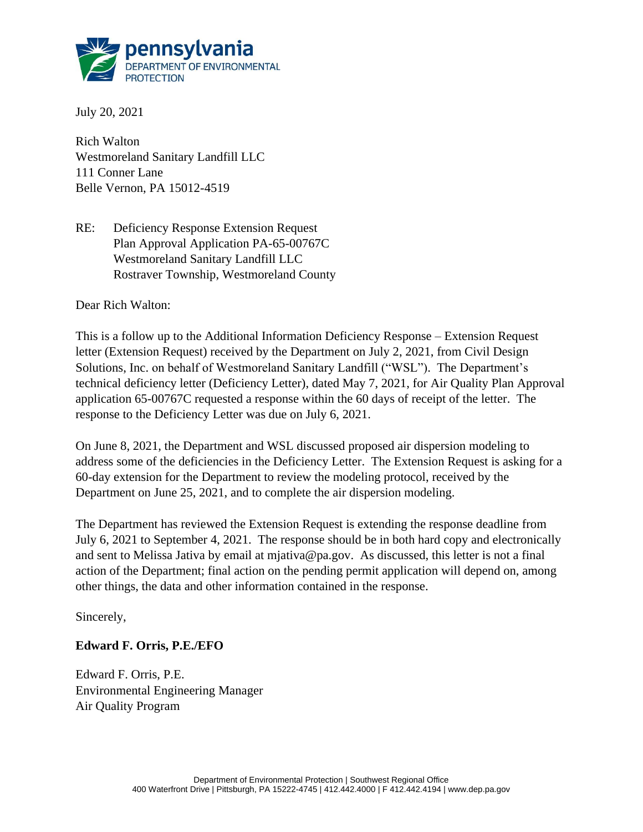

July 20, 2021

Rich Walton Westmoreland Sanitary Landfill LLC 111 Conner Lane Belle Vernon, PA 15012-4519

RE: Deficiency Response Extension Request Plan Approval Application PA-65-00767C Westmoreland Sanitary Landfill LLC Rostraver Township, Westmoreland County

Dear Rich Walton:

This is a follow up to the Additional Information Deficiency Response – Extension Request letter (Extension Request) received by the Department on July 2, 2021, from Civil Design Solutions, Inc. on behalf of Westmoreland Sanitary Landfill ("WSL"). The Department's technical deficiency letter (Deficiency Letter), dated May 7, 2021, for Air Quality Plan Approval application 65-00767C requested a response within the 60 days of receipt of the letter. The response to the Deficiency Letter was due on July 6, 2021.

On June 8, 2021, the Department and WSL discussed proposed air dispersion modeling to address some of the deficiencies in the Deficiency Letter. The Extension Request is asking for a 60-day extension for the Department to review the modeling protocol, received by the Department on June 25, 2021, and to complete the air dispersion modeling.

The Department has reviewed the Extension Request is extending the response deadline from July 6, 2021 to September 4, 2021. The response should be in both hard copy and electronically and sent to Melissa Jativa by email at mjativa@pa.gov. As discussed, this letter is not a final action of the Department; final action on the pending permit application will depend on, among other things, the data and other information contained in the response.

Sincerely,

## **Edward F. Orris, P.E./EFO**

Edward F. Orris, P.E. Environmental Engineering Manager Air Quality Program